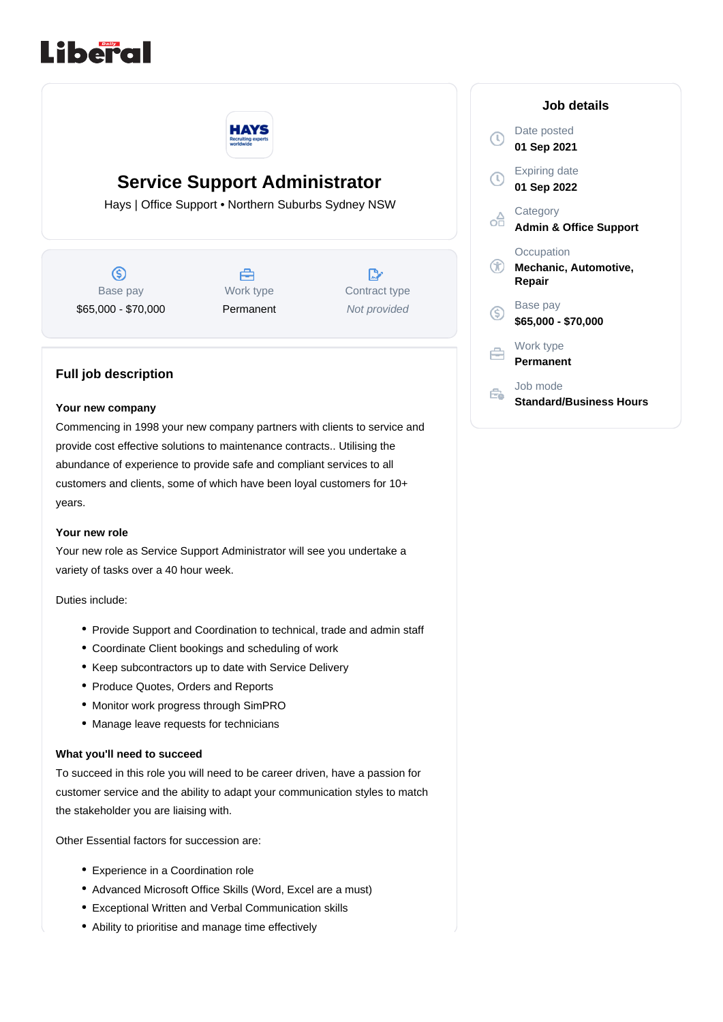



# **Service Support Administrator**

Hays | Office Support • Northern Suburbs Sydney NSW

 $\circledS$ Base pay \$65,000 - \$70,000



 $\mathbb{R}^*$ Contract type Not provided

## **Full job description**

#### **Your new company**

Commencing in 1998 your new company partners with clients to service and provide cost effective solutions to maintenance contracts.. Utilising the abundance of experience to provide safe and compliant services to all customers and clients, some of which have been loyal customers for 10+ years.

#### **Your new role**

Your new role as Service Support Administrator will see you undertake a variety of tasks over a 40 hour week.

Duties include:

- Provide Support and Coordination to technical, trade and admin staff
- Coordinate Client bookings and scheduling of work
- Keep subcontractors up to date with Service Delivery
- Produce Quotes, Orders and Reports
- Monitor work progress through SimPRO
- Manage leave requests for technicians

### **What you'll need to succeed**

To succeed in this role you will need to be career driven, have a passion for customer service and the ability to adapt your communication styles to match the stakeholder you are liaising with.

Other Essential factors for succession are:

- Experience in a Coordination role
- Advanced Microsoft Office Skills (Word, Excel are a must)
- Exceptional Written and Verbal Communication skills
- Ability to prioritise and manage time effectively

|                             | Job details                                   |
|-----------------------------|-----------------------------------------------|
| $\mathbb{C}$                | Date posted<br>01 Sep 2021                    |
| $\mathbb{D}$                | <b>Expiring date</b><br>01 Sep 2022           |
| oĦ                          | Category<br><b>Admin &amp; Office Support</b> |
| $^\mathrm{\textregistered}$ | Occupation<br>Mechanic, Automotive,<br>Repair |
| S)                          | Base pay<br>\$65,000 - \$70,000               |
| ÷                           | Work type<br><b>Permanent</b>                 |
|                             | Job mode<br>Standard/Business Hours           |